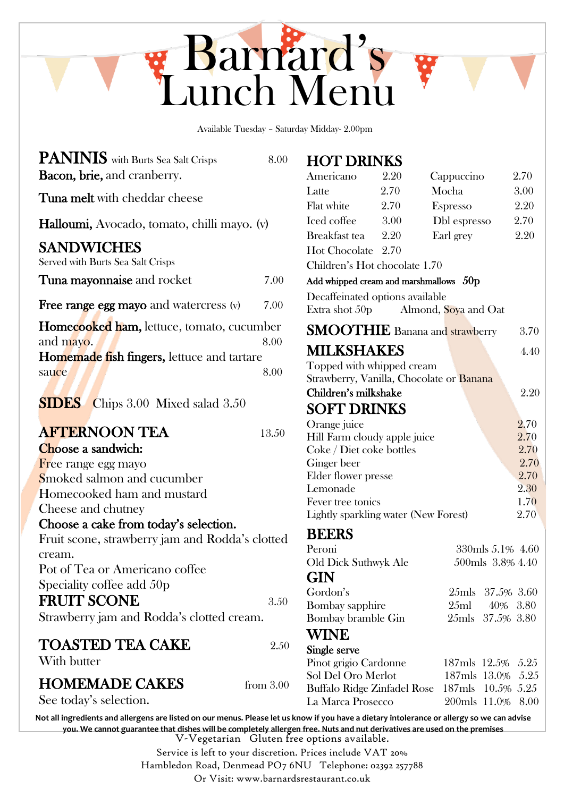

Available Tuesday – Saturday Midday- 2.00pm

| <b>PANINIS</b> with Burts Sea Salt Crisps | 8.00 |
|-------------------------------------------|------|
| <b>Bacon, brie, and cranberry.</b>        |      |

Tuna melt with cheddar cheese

Halloumi, Avocado, tomato, chilli mayo. (v)

#### SANDWICHES

Served with Burts Sea Salt Crisps

| Tuna mayonnaise and rocket | 7.00 |
|----------------------------|------|
|----------------------------|------|

**Free range egg mayo** and watercress (v) 7.00

| <b>Homecooked ham, lettuce, tomato, cucumber</b> |      |  |  |  |
|--------------------------------------------------|------|--|--|--|
| and mayo.                                        | 8.00 |  |  |  |
| Homemade fish fingers, lettuce and tartare       |      |  |  |  |
| sauce                                            | 8.00 |  |  |  |

**SIDES** Chips 3.00 Mixed salad 3.50

## **AFTERNOON TEA** 13.50

Choose a sandwich: Free range egg mayo Smoked salmon and cucumber Homecooked ham and mustard Cheese and chutney

#### Choose a cake from today's selection.

Fruit scone, strawberry jam and Rodda's clotted cream.

Pot of Tea or Americano coffee Speciality coffee add 50p

#### FRUIT SCONE 3.50

Strawberry jam and Rodda's clotted cream.

### TOASTED TEA CAKE 2.50

With butter

## **HOMEMADE CAKES** from 3.00

See today's selection.

| <b>HOT DRINKS</b>                           |      |                                          |                  |
|---------------------------------------------|------|------------------------------------------|------------------|
| Americano                                   | 2.20 | Cappuccino                               | 2.70             |
| Latte                                       | 2.70 | Mocha                                    | 3.00             |
| Flat white                                  | 2.70 | Espresso                                 | 2.20             |
| Iced coffee                                 | 3.00 | Dbl espresso                             | 2.70             |
| <b>Breakfast</b> tea                        | 2.20 | Earl grey                                | 2.20             |
| Hot Chocolate 2.70                          |      |                                          |                  |
| Children's Hot chocolate 1.70               |      |                                          |                  |
| Add whipped cream and marshmallows $50p$    |      |                                          |                  |
| Decaffeinated options available             |      |                                          |                  |
|                                             |      | Extra shot 50p Almond, Soya and Oat      |                  |
|                                             |      | <b>SMOOTHIE</b> Banana and strawberry    | 3.70             |
| <b>MILKSHAKES</b>                           |      |                                          | 4.40             |
| Topped with whipped cream                   |      |                                          |                  |
|                                             |      | Strawberry, Vanilla, Chocolate or Banana |                  |
| Children's milkshake                        |      |                                          | 2.20             |
| <b>SOFT DRINKS</b>                          |      |                                          |                  |
| Orange juice                                |      |                                          | 2.70             |
| Hill Farm cloudy apple juice                |      |                                          | 2.70             |
| Coke / Diet coke bottles                    |      |                                          | 2.70             |
| Ginger beer                                 |      |                                          | 2.70             |
| Elder flower presse                         |      |                                          | 2.70             |
| Lemonade                                    |      |                                          | 2.30             |
| Fever tree tonics                           |      |                                          | 1.70             |
| <b>Lightly sparkling water (New Forest)</b> |      |                                          | 2.70             |
| <b>BEERS</b>                                |      |                                          |                  |
| Peroni                                      |      |                                          | 330mls 5.1% 4.60 |
| Old Dick Suthwyk Ale                        |      |                                          | 500mls 3.8% 4.40 |
| GIN                                         |      |                                          |                  |
| Gordon's                                    |      |                                          | 25mls 37.5% 3.60 |
| <b>Bombay</b> sapphire                      |      | 25ml                                     | 40% 3.80         |
| Bombay bramble Gin                          |      |                                          | 25mls 37.5% 3.80 |
| WINE                                        |      |                                          |                  |

#### Single serve

| Pinot grigio Cardonne                         | 187mls 12.5% 5.25 |  |
|-----------------------------------------------|-------------------|--|
| Sol Del Oro Merlot                            | 187mls 13.0% 5.25 |  |
| Buffalo Ridge Zinfadel Rose 187mls 10.5% 5.25 |                   |  |
| La Marca Prosecco                             | 200mls 11.0% 8.00 |  |
|                                               |                   |  |

V-Vegetarian Gluten free options available. **Not all ingredients and allergens are listed on our menus. Please let us know if you have a dietary intolerance or allergy so we can advise you. We cannot guarantee that dishes will be completely allergen free. Nuts and nut derivatives are used on the premises**

Service is left to your discretion. Prices include VAT 20%

Hambledon Road, Denmead PO7 6NU Telephone: 02392 257788

Or Visit: www.barnardsrestaurant.co.uk